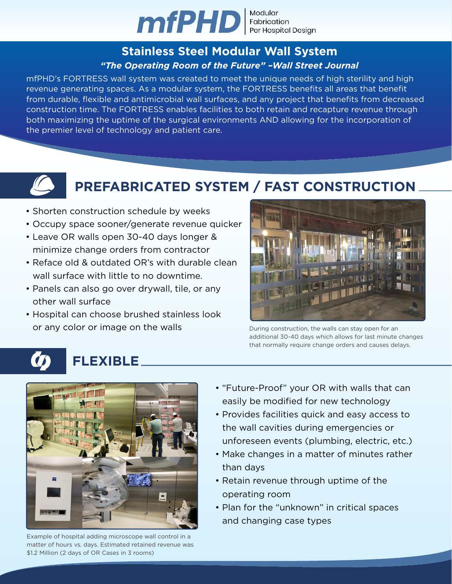# mfPHD | Modular

#### **Stainless Steel Modular Wall System** *"The Operating Room of the Future" –Wall Street Journal*

mfPHD's FORTRESS wall system was created to meet the unique needs of high sterility and high revenue generating spaces. As a modular system, the FORTRESS benefits all areas that benefit from durable, flexible and antimicrobial wall surfaces, and any project that benefits from decreased construction time. The FORTRESS enables facilities to both retain and recapture revenue through both maximizing the uptime of the surgical environments AND allowing for the incorporation of the premier level of technology and patient care.



#### **PREFABRICATED SYSTEM / FAST CONSTRUCTION**

- Shorten construction schedule by weeks
- Occupy space sooner/generate revenue quicker
- Leave OR walls open 30-40 days longer & minimize change orders from contractor
- Reface old & outdated OR's with durable clean wall surface with little to no downtime.
- Panels can also go over drywall, tile, or any other wall surface
- Hospital can choose brushed stainless look or any color or image on the walls



During construction, the walls can stay open for an additional 30-40 days which allows for last minute changes that normally require change orders and causes delays.

## **FLEXIBLE**



Example of hospital adding microscope wall control in a matter of hours vs. days. Estimated retained revenue was \$1.2 Million (2 days of OR Cases in 3 rooms)

- "Future-Proof" your OR with walls that can easily be modified for new technology
- Provides facilities quick and easy access to the wall cavities during emergencies or unforeseen events (plumbing, electric, etc.)
- Make changes in a matter of minutes rather than days
- Retain revenue through uptime of the operating room
- Plan for the "unknown" in critical spaces and changing case types